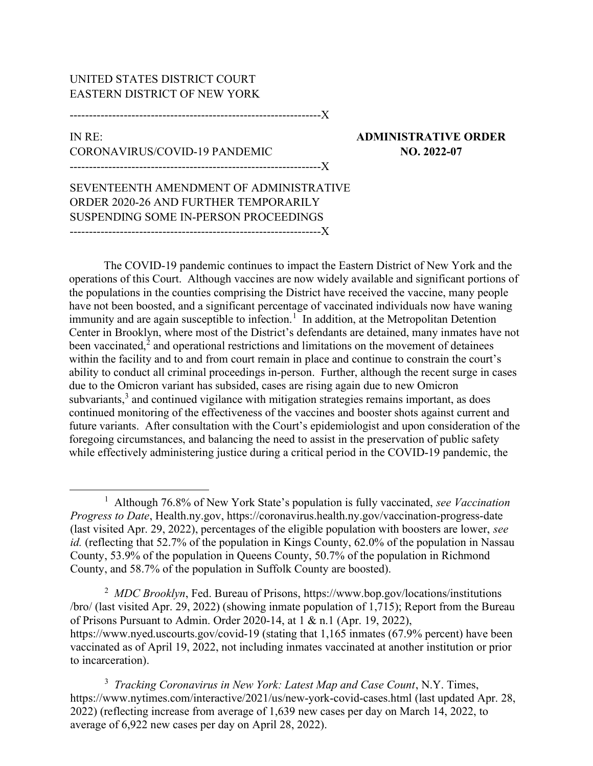## UNITED STATES DISTRICT COURT EASTERN DISTRICT OF NEW YORK

-----------------------------------------------------------------X

## IN RE: ADMINISTRATIVE ORDER CORONAVIRUS/COVID-19 PANDEMIC NO. 2022-07 -----------------------------------------------------------------X

SEVENTEENTH AMENDMENT OF ADMINISTRATIVE ORDER 2020-26 AND FURTHER TEMPORARILY SUSPENDING SOME IN-PERSON PROCEEDINGS -----------------------------------------------------------------X

The COVID-19 pandemic continues to impact the Eastern District of New York and the operations of this Court. Although vaccines are now widely available and significant portions of the populations in the counties comprising the District have received the vaccine, many people have not been boosted, and a significant percentage of vaccinated individuals now have waning immunity and are again susceptible to infection.<sup>1</sup> In addition, at the Metropolitan Detention Center in Brooklyn, where most of the District's defendants are detained, many inmates have not been vaccinated, $2$  and operational restrictions and limitations on the movement of detainees within the facility and to and from court remain in place and continue to constrain the court's ability to conduct all criminal proceedings in-person. Further, although the recent surge in cases due to the Omicron variant has subsided, cases are rising again due to new Omicron subvariants,<sup>3</sup> and continued vigilance with mitigation strategies remains important, as does continued monitoring of the effectiveness of the vaccines and booster shots against current and future variants. After consultation with the Court's epidemiologist and upon consideration of the foregoing circumstances, and balancing the need to assist in the preservation of public safety while effectively administering justice during a critical period in the COVID-19 pandemic, the

<sup>2</sup> MDC Brooklyn, Fed. Bureau of Prisons, https://www.bop.gov/locations/institutions /bro/ (last visited Apr. 29, 2022) (showing inmate population of 1,715); Report from the Bureau of Prisons Pursuant to Admin. Order 2020-14, at 1 & n.1 (Apr. 19, 2022), https://www.nyed.uscourts.gov/covid-19 (stating that 1,165 inmates (67.9% percent) have been vaccinated as of April 19, 2022, not including inmates vaccinated at another institution or prior to incarceration).

<sup>3</sup> Tracking Coronavirus in New York: Latest Map and Case Count, N.Y. Times, https://www.nytimes.com/interactive/2021/us/new-york-covid-cases.html (last updated Apr. 28, 2022) (reflecting increase from average of 1,639 new cases per day on March 14, 2022, to average of 6,922 new cases per day on April 28, 2022).

<sup>&</sup>lt;sup>1</sup> Although 76.8% of New York State's population is fully vaccinated, see Vaccination Progress to Date, Health.ny.gov, https://coronavirus.health.ny.gov/vaccination-progress-date (last visited Apr. 29, 2022), percentages of the eligible population with boosters are lower, see id. (reflecting that 52.7% of the population in Kings County, 62.0% of the population in Nassau County, 53.9% of the population in Queens County, 50.7% of the population in Richmond County, and 58.7% of the population in Suffolk County are boosted).